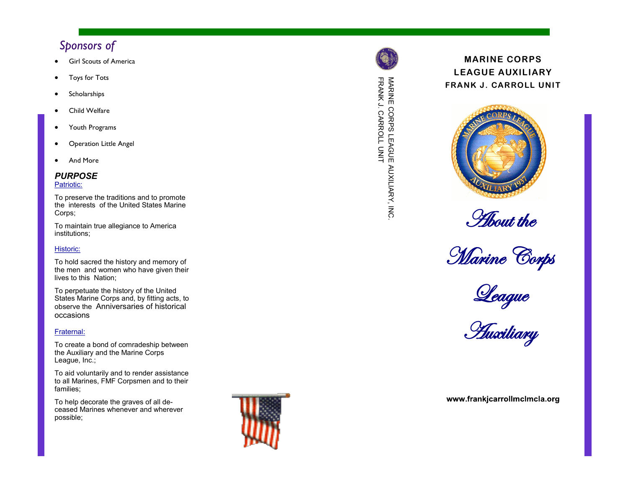# *Sponsors of*

- 
- 
- 
- 
- 
- 
- 

### *PURPOSE*

#### Patriotic:

To preserve the traditions and to promote the interests of the United States Marine Corps;

To maintain true allegiance to America institutions;

#### Historic:

To hold sacred the history and memory of the men and women who have given their lives to this Nation;

To perpetuate the history of the United States Marine Corps and, by fitting acts, to observe the Anniversaries of historical occasions

#### Fraternal:

To create a bond of comradeship between the Auxiliary and the Marine Corps League, Inc.;

To aid voluntarily and to render assistance to all Marines, FMF Corpsmen and to their families;

To help decorate the graves of all deceased Marines whenever and wherever possible;





# FRANK J. CARROLL UNI MARINE CORPS LEAGUE AUXILIARY, INC. MARINE CORPS LEAGUE AUXILIARY, INC<br>MARINE CORPS LEAGUE AUXILIARY, INC

# **MARINE CORPS LEAGUE AUXILIARY FRANK J. CARROLL UNI T**



*About the* 



League

#### www.frankjcarrollmclmcla.org